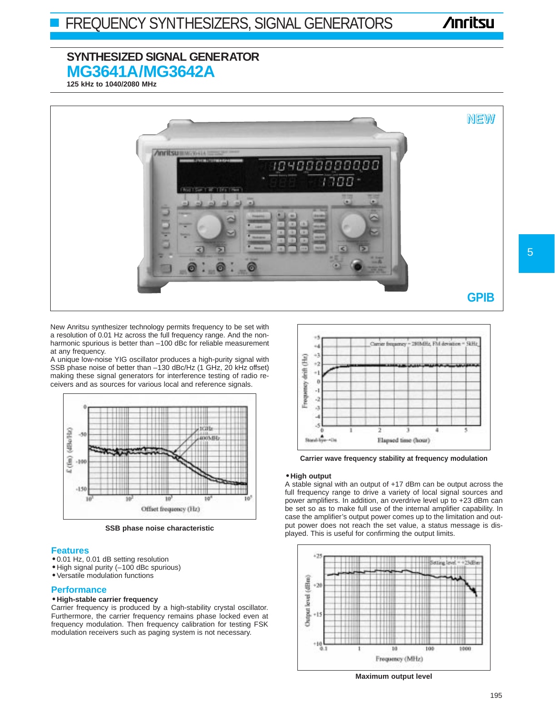# **Anritsu**

# **SYNTHESIZED SIGNAL GENERATOR MG3641A/MG3642A**

**125 kHz to 1040/2080 MHz**



New Anritsu synthesizer technology permits frequency to be set with a resolution of 0.01 Hz across the full frequency range. And the nonharmonic spurious is better than –100 dBc for reliable measurement at any frequency.

A unique low-noise YIG oscillator produces a high-purity signal with SSB phase noise of better than –130 dBc/Hz (1 GHz, 20 kHz offset) making these signal generators for interference testing of radio receivers and as sources for various local and reference signals.



**SSB phase noise characteristic**

### **Features**

- 0.01 Hz, 0.01 dB setting resolution
- High signal purity (–100 dBc spurious)
- Versatile modulation functions

### **Performance**

### • **High-stable carrier frequency**

Carrier frequency is produced by a high-stability crystal oscillator. Furthermore, the carrier frequency remains phase locked even at frequency modulation. Then frequency calibration for testing FSK modulation receivers such as paging system is not necessary.



**Carrier wave frequency stability at frequency modulation** 

#### • **High output**

A stable signal with an output of +17 dBm can be output across the full frequency range to drive a variety of local signal sources and power amplifiers. In addition, an overdrive level up to +23 dBm can be set so as to make full use of the internal amplifier capability. In case the amplifier's output power comes up to the limitation and output power does not reach the set value, a status message is displayed. This is useful for confirming the output limits.



**Maximum output level**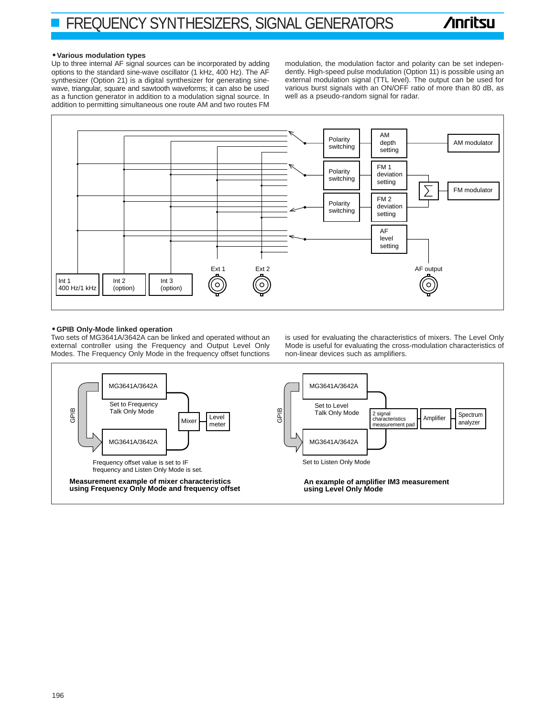#### • **Various modulation types**

Up to three internal AF signal sources can be incorporated by adding options to the standard sine-wave oscillator (1 kHz, 400 Hz). The AF synthesizer (Option 21) is a digital synthesizer for generating sinewave, triangular, square and sawtooth waveforms; it can also be used as a function generator in addition to a modulation signal source. In addition to permitting simultaneous one route AM and two routes FM

modulation, the modulation factor and polarity can be set independently. High-speed pulse modulation (Option 11) is possible using an external modulation signal (TTL level). The output can be used for various burst signals with an ON/OFF ratio of more than 80 dB, as well as a pseudo-random signal for radar.



#### • **GPIB Only-Mode linked operation**

Two sets of MG3641A/3642A can be linked and operated without an external controller using the Frequency and Output Level Only Modes. The Frequency Only Mode in the frequency offset functions

is used for evaluating the characteristics of mixers. The Level Only Mode is useful for evaluating the cross-modulation characteristics of non-linear devices such as amplifiers.

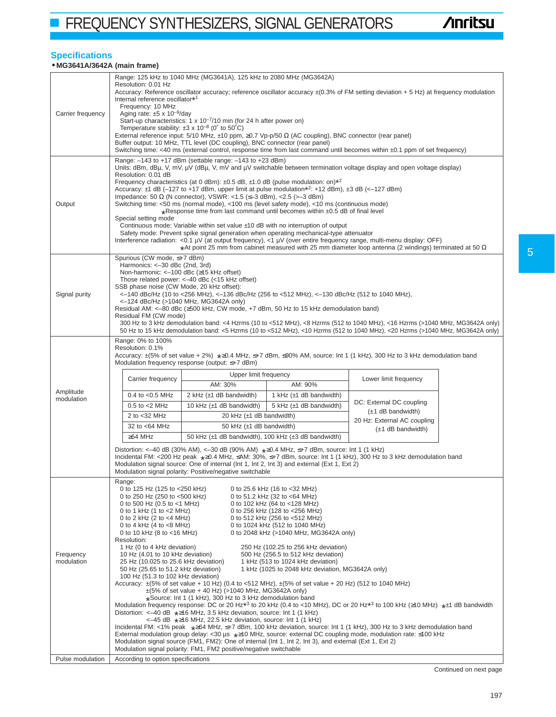**FREQUENCY SYNTHESIZERS, SIGNAL GENERATORS** 

## **Specifications**

## • **MG3641A/3642A (main frame)**

| Carrier frequency       | Range: 125 kHz to 1040 MHz (MG3641A), 125 kHz to 2080 MHz (MG3642A)<br>Resolution: 0.01 Hz<br>Accuracy: Reference oscillator accuracy; reference oscillator accuracy $\pm$ (0.3% of FM setting deviation + 5 Hz) at frequency modulation<br>Internal reference oscillator*1<br>Frequency: 10 MHz<br>Aging rate: $\pm 5 \times 10^{-9}$ /day<br>Start-up characteristics: $1 \times 10^{-7}$ /10 min (for 24 h after power on)<br>Temperature stability: $\pm 3 \times 10^{-8}$ (0° to 50°C)<br>External reference input: 5/10 MHz, $\pm$ 10 ppm, $\geq$ 0.7 Vp-p/50 $\Omega$ (AC coupling), BNC connector (rear panel)<br>Buffer output: 10 MHz, TTL level (DC coupling), BNC connector (rear panel)<br>Switching time: <40 ms (external control, response time from last command until becomes within ±0.1 ppm of set frequency)                                                                                                                                                                                                                                                                                                                                                                                                                                                                                                                                                                                                                                                                                                                      |                                                     |                              |                                                       |  |  |  |
|-------------------------|--------------------------------------------------------------------------------------------------------------------------------------------------------------------------------------------------------------------------------------------------------------------------------------------------------------------------------------------------------------------------------------------------------------------------------------------------------------------------------------------------------------------------------------------------------------------------------------------------------------------------------------------------------------------------------------------------------------------------------------------------------------------------------------------------------------------------------------------------------------------------------------------------------------------------------------------------------------------------------------------------------------------------------------------------------------------------------------------------------------------------------------------------------------------------------------------------------------------------------------------------------------------------------------------------------------------------------------------------------------------------------------------------------------------------------------------------------------------------------------------------------------------------------------------------------|-----------------------------------------------------|------------------------------|-------------------------------------------------------|--|--|--|
| Output                  | Range: $-143$ to $+17$ dBm (settable range: $-143$ to $+23$ dBm)<br>Units: dBm, dBµ, V, mV, µV (dBµ, V, mV and µV switchable between termination voltage display and open voltage display)<br>Resolution: 0.01 dB<br>Frequency characteristics (at 0 dBm): $\pm 0.5$ dB, $\pm 1.0$ dB (pulse modulation: on) <sup><math>\pm 2</math></sup><br>Accuracy: $\pm$ 1 dB (-127 to +17 dBm, upper limit at pulse modulation* <sup>2</sup> : +12 dBm), $\pm$ 3 dB (<-127 dBm)<br>Impedance: 50 Ω (N connector), VSWR: <1.5 (≤-3 dBm), <2.5 (>-3 dBm)<br>Switching time: <50 ms (normal mode), <100 ms (level safety mode), <10 ms (continuous mode)<br>*Response time from last command until becomes within ±0.5 dB of final level<br>Special setting mode<br>Continuous mode: Variable within set value ±10 dB with no interruption of output<br>Safety mode: Prevent spike signal generation when operating mechanical-type attenuator<br>Interference radiation: <0.1 $\mu$ V (at output frequency), <1 $\mu$ V (over entire frequency range, multi-menu display: OFF)<br>*At point 25 mm from cabinet measured with 25 mm diameter loop antenna (2 windings) terminated at 50 $\Omega$                                                                                                                                                                                                                                                                                                                                                                    |                                                     |                              |                                                       |  |  |  |
| Signal purity           | Spurious (CW mode, ≤+7 dBm)<br>Harmonics: <-30 dBc (2nd, 3rd)<br>Non-harmonic: <-100 dBc (≥15 kHz offset)<br>Those related power: <-40 dBc (<15 kHz offset)<br>SSB phase noise (CW Mode, 20 kHz offset):<br>$<-140$ dBc/Hz (10 to $<$ 256 MHz), $<-136$ dBc/Hz (256 to $<$ 512 MHz), $<-130$ dBc/Hz (512 to 1040 MHz),<br><-124 dBc/Hz (>1040 MHz, MG3642A only)<br>Residual AM: < -80 dBc (≥500 kHz, CW mode, +7 dBm, 50 Hz to 15 kHz demodulation band)<br>Residual FM (CW mode)<br>300 Hz to 3 kHz demodulation band: <4 Hzrms (10 to <512 MHz), <8 Hzrms (512 to 1040 MHz), <16 Hzrms (>1040 MHz, MG3642A only)<br>50 Hz to 15 kHz demodulation band: <5 Hzrms (10 to <512 MHz), <10 Hzrms (512 to 1040 MHz), <20 Hzrms (>1040 MHz, MG3642A only)                                                                                                                                                                                                                                                                                                                                                                                                                                                                                                                                                                                                                                                                                                                                                                                                  |                                                     |                              |                                                       |  |  |  |
|                         | Range: 0% to 100%<br>Resolution: 0.1%<br>Accuracy: $\pm$ (5% of set value + 2%) $\star$ $\geq$ 0.4 MHz, $\leq$ +7 dBm, $\leq$ 90% AM, source: Int 1 (1 kHz), 300 Hz to 3 kHz demodulation band<br>Modulation frequency response (output: ≤+7 dBm)                                                                                                                                                                                                                                                                                                                                                                                                                                                                                                                                                                                                                                                                                                                                                                                                                                                                                                                                                                                                                                                                                                                                                                                                                                                                                                      |                                                     |                              |                                                       |  |  |  |
|                         | Carrier frequency                                                                                                                                                                                                                                                                                                                                                                                                                                                                                                                                                                                                                                                                                                                                                                                                                                                                                                                                                                                                                                                                                                                                                                                                                                                                                                                                                                                                                                                                                                                                      | Upper limit frequency<br>AM: 30%                    | AM: 90%                      | Lower limit frequency                                 |  |  |  |
| Amplitude               | $0.4$ to < $0.5$ MHz                                                                                                                                                                                                                                                                                                                                                                                                                                                                                                                                                                                                                                                                                                                                                                                                                                                                                                                                                                                                                                                                                                                                                                                                                                                                                                                                                                                                                                                                                                                                   | 2 kHz $(\pm 1$ dB bandwidth)                        | 1 kHz $(\pm 1$ dB bandwidth) |                                                       |  |  |  |
| modulation              | $0.5$ to $<$ 2 MHz                                                                                                                                                                                                                                                                                                                                                                                                                                                                                                                                                                                                                                                                                                                                                                                                                                                                                                                                                                                                                                                                                                                                                                                                                                                                                                                                                                                                                                                                                                                                     | 10 kHz $(\pm 1$ dB bandwidth)                       | 5 kHz $(\pm 1$ dB bandwidth) | DC: External DC coupling                              |  |  |  |
|                         | 2 to <32 MHz                                                                                                                                                                                                                                                                                                                                                                                                                                                                                                                                                                                                                                                                                                                                                                                                                                                                                                                                                                                                                                                                                                                                                                                                                                                                                                                                                                                                                                                                                                                                           | 20 kHz (±1 dB bandwidth)                            |                              | $(\pm 1$ dB bandwidth)<br>20 Hz: External AC coupling |  |  |  |
|                         | 32 to <64 MHz                                                                                                                                                                                                                                                                                                                                                                                                                                                                                                                                                                                                                                                                                                                                                                                                                                                                                                                                                                                                                                                                                                                                                                                                                                                                                                                                                                                                                                                                                                                                          | 50 kHz $(\pm 1$ dB bandwidth)                       |                              | $(\pm 1$ dB bandwidth)                                |  |  |  |
|                         | $\geq$ 64 MHz                                                                                                                                                                                                                                                                                                                                                                                                                                                                                                                                                                                                                                                                                                                                                                                                                                                                                                                                                                                                                                                                                                                                                                                                                                                                                                                                                                                                                                                                                                                                          | 50 kHz (±1 dB bandwidth), 100 kHz (±3 dB bandwidth) |                              |                                                       |  |  |  |
|                         | Distortion: <-40 dB (30% AM), <-30 dB (90% AM) $\star \ge 0.4$ MHz, $\le +7$ dBm, source: Int 1 (1 kHz)<br>Incidental FM: <200 Hz peak *≥0.4 MHz, ≤AM: 30%, ≤+7 dBm, source: Int 1 (1 kHz), 300 Hz to 3 kHz demodulation band<br>Modulation signal source: One of internal (lnt 1, lnt 2, lnt 3) and external (Ext 1, Ext 2)<br>Modulation signal polarity: Positive/negative switchable                                                                                                                                                                                                                                                                                                                                                                                                                                                                                                                                                                                                                                                                                                                                                                                                                                                                                                                                                                                                                                                                                                                                                               |                                                     |                              |                                                       |  |  |  |
| Frequency<br>modulation | Range:<br>0 to 125 Hz (125 to <250 kHz)<br>0 to 25.6 kHz (16 to <32 MHz)<br>0 to 250 Hz (250 to <500 kHz)<br>0 to 51.2 kHz (32 to <64 MHz)<br>0 to 500 Hz (0.5 to $<$ 1 MHz)<br>0 to 102 kHz (64 to <128 MHz)<br>0 to 1 kHz (1 to $<$ 2 MHz)<br>0 to 256 kHz (128 to <256 MHz)<br>0 to 2 kHz (2 to $<$ 4 MHz)<br>0 to 512 kHz (256 to <512 MHz)<br>0 to 4 kHz $(4 \text{ to } 8 \text{ MHz})$<br>0 to 1024 kHz (512 to 1040 MHz)<br>0 to 10 kHz (8 to <16 MHz)<br>0 to 2048 kHz (>1040 MHz, MG3642A only)<br>Resolution:<br>1 Hz (0 to 4 kHz deviation)<br>250 Hz (102.25 to 256 kHz deviation)<br>10 Hz (4.01 to 10 kHz deviation)<br>500 Hz (256.5 to 512 kHz deviation)<br>25 Hz (10.025 to 25.6 kHz deviation)<br>1 kHz (513 to 1024 kHz deviation)<br>1 kHz (1025 to 2048 kHz deviation, MG3642A only)<br>50 Hz (25.65 to 51.2 kHz deviation)<br>100 Hz (51.3 to 102 kHz deviation)<br>Accuracy: $\pm$ (5% of set value + 10 Hz) (0.4 to <512 MHz), $\pm$ (5% of set value + 20 Hz) (512 to 1040 MHz)<br>$\pm$ (5% of set value + 40 Hz) (>1040 MHz, MG3642A only)<br>*Source: Int 1 (1 kHz), 300 Hz to 3 kHz demodulation band<br>Modulation frequency response: DC or 20 Hz*3 to 20 kHz (0.4 to <10 MHz), DC or 20 Hz*3 to 100 kHz (≥10 MHz) *±1 dB bandwidth<br>Distortion: $\lt$ -40 dB $\star \ge 16$ MHz, 3.5 kHz deviation, source: Int 1 (1 kHz)<br><-45 dB *≥16 MHz, 22.5 kHz deviation, source: Int 1 (1 kHz)<br>Incidental FM: <1% peak *≥64 MHz, ≤+7 dBm, 100 kHz deviation, source: Int 1 (1 kHz), 300 Hz to 3 kHz demodulation band |                                                     |                              |                                                       |  |  |  |
|                         | External modulation group delay: <30 µs $\star$ ≥10 MHz, source: external DC coupling mode, modulation rate: ≤100 kHz<br>Modulation signal source (FM1, FM2): One of internal (Int 1, Int 2, Int 3), and external (Ext 1, Ext 2)<br>Modulation signal polarity: FM1, FM2 positive/negative switchable<br>According to option specifications                                                                                                                                                                                                                                                                                                                                                                                                                                                                                                                                                                                                                                                                                                                                                                                                                                                                                                                                                                                                                                                                                                                                                                                                            |                                                     |                              |                                                       |  |  |  |
| Pulse modulation        |                                                                                                                                                                                                                                                                                                                                                                                                                                                                                                                                                                                                                                                                                                                                                                                                                                                                                                                                                                                                                                                                                                                                                                                                                                                                                                                                                                                                                                                                                                                                                        |                                                     |                              |                                                       |  |  |  |

Continued on next page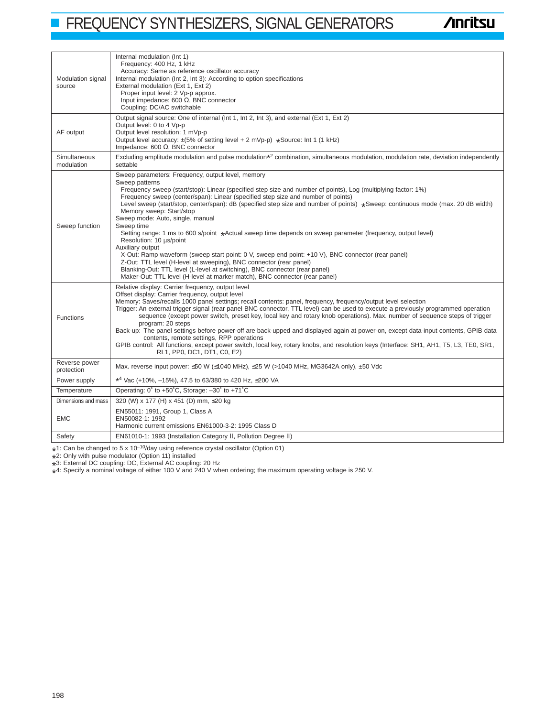# **FREQUENCY SYNTHESIZERS, SIGNAL GENERATORS**

# **/inritsu**

| Modulation signal<br>source | Internal modulation (Int 1)<br>Frequency: 400 Hz, 1 kHz<br>Accuracy: Same as reference oscillator accuracy<br>Internal modulation (Int 2, Int 3): According to option specifications<br>External modulation (Ext 1, Ext 2)<br>Proper input level: 2 Vp-p approx.<br>Input impedance: 600 $\Omega$ , BNC connector<br>Coupling: DC/AC switchable                                                                                                                                                                                                                                                                                                                                                                                                                                                                                                                                                                                                                                               |  |  |
|-----------------------------|-----------------------------------------------------------------------------------------------------------------------------------------------------------------------------------------------------------------------------------------------------------------------------------------------------------------------------------------------------------------------------------------------------------------------------------------------------------------------------------------------------------------------------------------------------------------------------------------------------------------------------------------------------------------------------------------------------------------------------------------------------------------------------------------------------------------------------------------------------------------------------------------------------------------------------------------------------------------------------------------------|--|--|
| AF output                   | Output signal source: One of internal (Int 1, Int 2, Int 3), and external (Ext 1, Ext 2)<br>Output level: 0 to 4 Vp-p<br>Output level resolution: 1 mVp-p<br>Output level accuracy: ±(5% of setting level + 2 mVp-p) *Source: Int 1 (1 kHz)<br>Impedance: 600 $\Omega$ , BNC connector                                                                                                                                                                                                                                                                                                                                                                                                                                                                                                                                                                                                                                                                                                        |  |  |
| Simultaneous<br>modulation  | Excluding amplitude modulation and pulse modulation*2 combination, simultaneous modulation, modulation rate, deviation independently<br>settable                                                                                                                                                                                                                                                                                                                                                                                                                                                                                                                                                                                                                                                                                                                                                                                                                                              |  |  |
| Sweep function              | Sweep parameters: Frequency, output level, memory<br>Sweep patterns<br>Frequency sweep (start/stop): Linear (specified step size and number of points), Log (multiplying factor: 1%)<br>Frequency sweep (center/span): Linear (specified step size and number of points)<br>Level sweep (start/stop, center/span): dB (specified step size and number of points) *Sweep: continuous mode (max. 20 dB width)<br>Memory sweep: Start/stop<br>Sweep mode: Auto, single, manual<br>Sweep time<br>Setting range: 1 ms to 600 s/point *Actual sweep time depends on sweep parameter (frequency, output level)<br>Resolution: 10 µs/point<br>Auxiliary output<br>X-Out: Ramp waveform (sweep start point: 0 V, sweep end point: +10 V), BNC connector (rear panel)<br>Z-Out: TTL level (H-level at sweeping), BNC connector (rear panel)<br>Blanking-Out: TTL level (L-level at switching), BNC connector (rear panel)<br>Maker-Out: TTL level (H-level at marker match), BNC connector (rear panel) |  |  |
| <b>Functions</b>            | Relative display: Carrier frequency, output level<br>Offset display: Carrier frequency, output level<br>Memory: Saves/recalls 1000 panel settings; recall contents: panel, frequency, frequency/output level selection<br>Trigger: An external trigger signal (rear panel BNC connector, TTL level) can be used to execute a previously programmed operation<br>sequence (except power switch, preset key, local key and rotary knob operations). Max, number of sequence steps of trigger<br>program: 20 steps<br>Back-up: The panel settings before power-off are back-upped and displayed again at power-on, except data-input contents, GPIB data<br>contents, remote settings, RPP operations<br>GPIB control: All functions, except power switch, local key, rotary knobs, and resolution keys (Interface: SH1, AH1, T5, L3, TE0, SR1,<br>RL1, PP0, DC1, DT1, C0, E2)                                                                                                                   |  |  |
| Reverse power<br>protection | Max. reverse input power: $\leq 50$ W ( $\leq 1040$ MHz), $\leq 25$ W ( $> 1040$ MHz, MG3642A only), $\pm 50$ Vdc                                                                                                                                                                                                                                                                                                                                                                                                                                                                                                                                                                                                                                                                                                                                                                                                                                                                             |  |  |
| Power supply                | *4 Vac (+10%, -15%), 47.5 to 63/380 to 420 Hz, $\leq$ 200 VA                                                                                                                                                                                                                                                                                                                                                                                                                                                                                                                                                                                                                                                                                                                                                                                                                                                                                                                                  |  |  |
| Temperature                 | Operating: 0° to +50°C, Storage: -30° to +71°C                                                                                                                                                                                                                                                                                                                                                                                                                                                                                                                                                                                                                                                                                                                                                                                                                                                                                                                                                |  |  |
| Dimensions and mass         | 320 (W) x 177 (H) x 451 (D) mm, ≤20 kg                                                                                                                                                                                                                                                                                                                                                                                                                                                                                                                                                                                                                                                                                                                                                                                                                                                                                                                                                        |  |  |
| <b>EMC</b>                  | EN55011: 1991, Group 1, Class A<br>EN50082-1: 1992<br>Harmonic current emissions EN61000-3-2: 1995 Class D                                                                                                                                                                                                                                                                                                                                                                                                                                                                                                                                                                                                                                                                                                                                                                                                                                                                                    |  |  |
| Safety                      | EN61010-1: 1993 (Installation Category II, Pollution Degree II)                                                                                                                                                                                                                                                                                                                                                                                                                                                                                                                                                                                                                                                                                                                                                                                                                                                                                                                               |  |  |
|                             |                                                                                                                                                                                                                                                                                                                                                                                                                                                                                                                                                                                                                                                                                                                                                                                                                                                                                                                                                                                               |  |  |

\*1: Can be changed to 5 x 10<sup>-10</sup>/day using reference crystal oscillator (Option 01)<br>\*2: Only with pulse modulator (Option 11) installed

\* 2: Only with pulse modulator (Option 11) installed

\* 3: External DC coupling: DC, External AC coupling: 20 Hz

\* 4: Specify a nominal voltage of either 100 V and 240 V when ordering; the maximum operating voltage is 250 V.